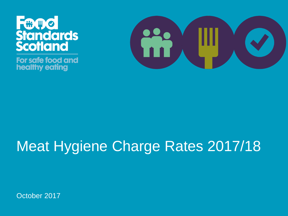

For safe food and healthy eating



# Meat Hygiene Charge Rates 2017/18

October 2017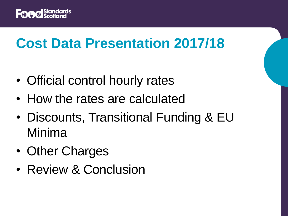

### **Cost Data Presentation 2017/18**

- Official control hourly rates
- How the rates are calculated
- Discounts, Transitional Funding & EU Minima
- Other Charges
- Review & Conclusion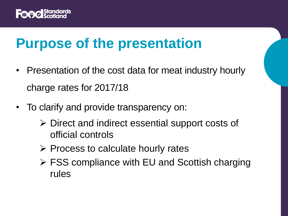

#### **Purpose of the presentation**

- Presentation of the cost data for meat industry hourly charge rates for 2017/18
- To clarify and provide transparency on:
	- $\triangleright$  Direct and indirect essential support costs of official controls
	- $\triangleright$  Process to calculate hourly rates
	- FSS compliance with EU and Scottish charging rules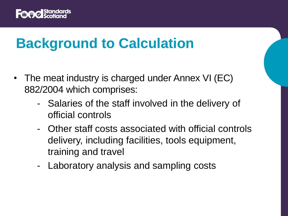

### **Background to Calculation**

- The meat industry is charged under Annex VI (EC) 882/2004 which comprises:
	- Salaries of the staff involved in the delivery of official controls
	- Other staff costs associated with official controls delivery, including facilities, tools equipment, training and travel
	- Laboratory analysis and sampling costs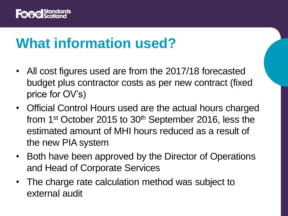

#### **What information used?**

- All cost figures used are from the 2017/18 forecasted budget plus contractor costs as per new contract (fixed price for OV's)
- Official Control Hours used are the actual hours charged from 1<sup>st</sup> October 2015 to 30<sup>th</sup> September 2016, less the estimated amount of MHI hours reduced as a result of the new PIA system
- Both have been approved by the Director of Operations and Head of Corporate Services
- The charge rate calculation method was subject to external audit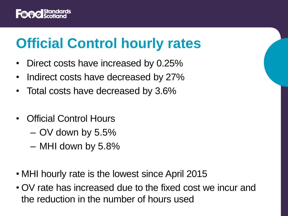

# **Official Control hourly rates**

- Direct costs have increased by 0.25%
- Indirect costs have decreased by 27%
- Total costs have decreased by 3.6%
- Official Control Hours
	- OV down by 5.5%
	- MHI down by 5.8%
- MHI hourly rate is the lowest since April 2015
- OV rate has increased due to the fixed cost we incur and the reduction in the number of hours used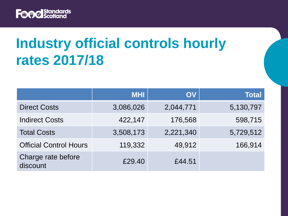

# **Industry official controls hourly rates 2017/18**

|                                | <b>MHI</b> | OV        | <b>Total</b> |
|--------------------------------|------------|-----------|--------------|
| <b>Direct Costs</b>            | 3,086,026  | 2,044,771 | 5,130,797    |
| <b>Indirect Costs</b>          | 422,147    | 176,568   | 598,715      |
| <b>Total Costs</b>             | 3,508,173  | 2,221,340 | 5,729,512    |
| <b>Official Control Hours</b>  | 119,332    | 49,912    | 166,914      |
| Charge rate before<br>discount | £29.40     | £44.51    |              |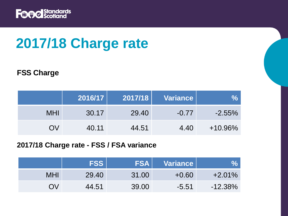

# **2017/18 Charge rate**

#### **FSS Charge**

|            | 2016/17 | 2017/18 | <b>Variance</b> |            |
|------------|---------|---------|-----------------|------------|
| <b>MHI</b> | 30.17   | 29.40   | $-0.77$         | $-2.55\%$  |
| OV         | 40.11   | 44.51   | 4.40            | $+10.96\%$ |

#### **2017/18 Charge rate - FSS / FSA variance**

|            | <b>FSS</b> | <b>FSA</b> | <b>Variance</b> | 07         |
|------------|------------|------------|-----------------|------------|
| <b>MHI</b> | 29.40      | 31.00      | $+0.60$         | $+2.01\%$  |
| OV         | 44.51      | 39.00      | $-5.51$         | $-12.38\%$ |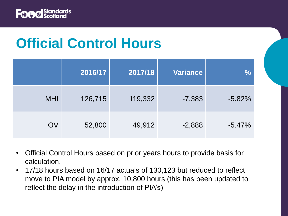

### **Official Control Hours**

|            | 2016/17 | 2017/18 | <b>Variance</b> | $\frac{0}{0}$ |
|------------|---------|---------|-----------------|---------------|
| <b>MHI</b> | 126,715 | 119,332 | $-7,383$        | $-5.82%$      |
| OV         | 52,800  | 49,912  | $-2,888$        | $-5.47%$      |

- Official Control Hours based on prior years hours to provide basis for calculation.
- 17/18 hours based on 16/17 actuals of 130,123 but reduced to reflect move to PIA model by approx. 10,800 hours (this has been updated to reflect the delay in the introduction of PIA's)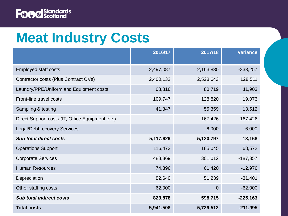

#### **Meat Industry Costs**

|                                                  | 2016/17   | 2017/18     | <b>Variance</b> |
|--------------------------------------------------|-----------|-------------|-----------------|
| <b>Employed staff costs</b>                      | 2,497,087 | 2,163,830   | $-333,257$      |
| Contractor costs (Plus Contract OVs)             | 2,400,132 | 2,528,643   | 128,511         |
| Laundry/PPE/Uniform and Equipment costs          | 68,816    | 80,719      | 11,903          |
| Front-line travel costs                          | 109,747   | 128,820     | 19,073          |
| Sampling & testing                               | 41,847    | 55,359      | 13,512          |
| Direct Support costs (IT, Office Equipment etc.) |           | 167,426     | 167,426         |
| <b>Legal/Debt recovery Services</b>              |           | 6,000       | 6,000           |
| <b>Sub total direct costs</b>                    | 5,117,629 | 5,130,797   | 13,168          |
| <b>Operations Support</b>                        | 116,473   | 185,045     | 68,572          |
| <b>Corporate Services</b>                        | 488,369   | 301,012     | $-187,357$      |
| <b>Human Resources</b>                           | 74,396    | 61,420      | $-12,976$       |
| Depreciation                                     | 82,640    | 51,239      | $-31,401$       |
| Other staffing costs                             | 62,000    | $\mathbf 0$ | $-62,000$       |
| <b>Sub total indirect costs</b>                  | 823,878   | 598,715     | $-225,163$      |
| <b>Total costs</b>                               | 5,941,508 | 5,729,512   | $-211,995$      |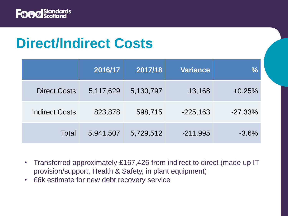

#### **Direct/Indirect Costs**

|                       | 2016/17   | 2017/18   | <b>Variance</b> | $\frac{0}{0}$ |
|-----------------------|-----------|-----------|-----------------|---------------|
| <b>Direct Costs</b>   | 5,117,629 | 5,130,797 | 13,168          | $+0.25%$      |
| <b>Indirect Costs</b> | 823,878   | 598,715   | $-225,163$      | $-27.33%$     |
| <b>Total</b>          | 5,941,507 | 5,729,512 | $-211,995$      | $-3.6%$       |

- Transferred approximately £167,426 from indirect to direct (made up IT provision/support, Health & Safety, in plant equipment)
- £6k estimate for new debt recovery service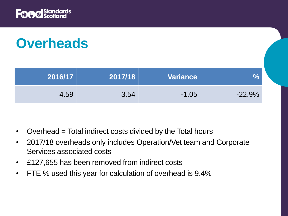

# **Overheads**

| 2016/17 | 2017/18 | Variance |          |
|---------|---------|----------|----------|
| 4.59    | 3.54    | $-1.05$  | $-22.9%$ |

- Overhead = Total indirect costs divided by the Total hours
- 2017/18 overheads only includes Operation/Vet team and Corporate Services associated costs
- £127,655 has been removed from indirect costs
- FTE % used this year for calculation of overhead is 9.4%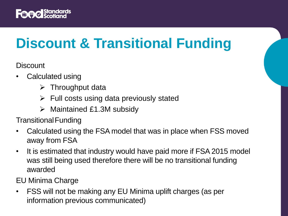

# **Discount & Transitional Funding**

**Discount** 

- Calculated using
	- $\triangleright$  Throughput data
	- $\triangleright$  Full costs using data previously stated
	- $\triangleright$  Maintained £1.3M subsidy

TransitionalFunding

- Calculated using the FSA model that was in place when FSS moved away from FSA
- It is estimated that industry would have paid more if FSA 2015 model was still being used therefore there will be no transitional funding awarded

EU Minima Charge

• FSS will not be making any EU Minima uplift charges (as per information previous communicated)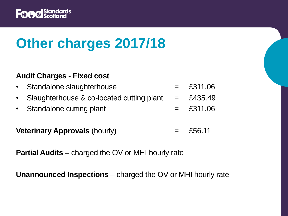

# **Other charges 2017/18**

#### **Audit Charges - Fixed cost**

| • Standalone slaughterhouse                 | $=$ £311.06 |
|---------------------------------------------|-------------|
| • Slaughterhouse & co-located cutting plant | $=$ £435.49 |
| • Standalone cutting plant                  | $=$ £311.06 |
|                                             |             |

**Veterinary Approvals** (hourly)  $=$  £56.11

**Partial Audits –** charged the OV or MHI hourly rate

**Unannounced Inspections** – charged the OV or MHI hourly rate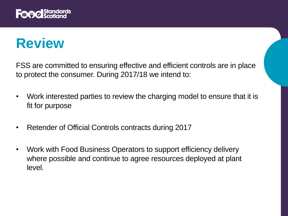

#### **Review**

FSS are committed to ensuring effective and efficient controls are in place to protect the consumer. During 2017/18 we intend to:

- Work interested parties to review the charging model to ensure that it is fit for purpose
- Retender of Official Controls contracts during 2017
- Work with Food Business Operators to support efficiency delivery where possible and continue to agree resources deployed at plant level.